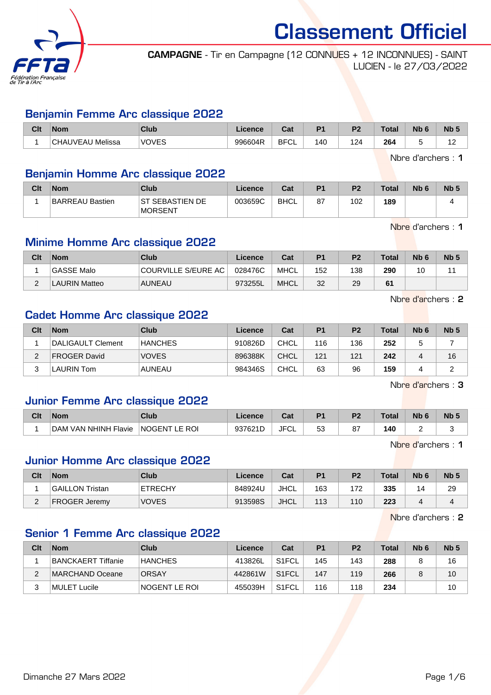

CAMPAGNE - Tir en Campagne (12 CONNUES + 12 INCONNUES) - SAINT LUCIEN - le 27/03/2022

#### Benjamin Femme Arc classique 2022

| Clt | 'Nom                       | Club         | Licence | ∩~'<br>⊍aι  | D <sub>1</sub> | D <sub>2</sub> | <b>Total</b> | <b>Nb</b><br>٦Ь. | <b>Nb</b>  |
|-----|----------------------------|--------------|---------|-------------|----------------|----------------|--------------|------------------|------------|
|     | Melissa<br><b>CHAUVEAU</b> | <b>VOVES</b> | 996604R | <b>BFCL</b> | 140            | 124            | 264          |                  | . .<br>. . |

Nbre d'archers : 1

#### Benjamin Homme Arc classique 2022

| Clt | <b>Nom</b>      | Club                               | Licence | Cat         | D <sub>1</sub> | P <sub>2</sub> | <b>Total</b> | N <sub>b</sub> 6 | N <sub>b</sub> |
|-----|-----------------|------------------------------------|---------|-------------|----------------|----------------|--------------|------------------|----------------|
|     | BARREAU Bastien | IST SEBASTIEN DE<br><b>MORSENT</b> | 003659C | <b>BHCL</b> | 87             | 102            | 189          |                  |                |

Nbre d'archers : 1

## Minime Homme Arc classique 2022

| Clt    | <b>Nom</b>           | Club                | Licence | Cat         | P <sub>1</sub> | P <sub>2</sub> | <b>Total</b> | N <sub>b</sub> 6 | <b>Nb</b> |
|--------|----------------------|---------------------|---------|-------------|----------------|----------------|--------------|------------------|-----------|
|        | GASSE Malo           | COURVILLE S/EURE AC | 028476C | MHCL        | 152            | 138            | 290          | 10               |           |
| $\sim$ | <b>LAURIN Matteo</b> | <b>AUNEAU</b>       | 973255L | <b>MHCL</b> | 32             | 29             | 61           |                  |           |

Nbre d'archers : 2

#### Cadet Homme Arc classique 2022

| Clt | <b>Nom</b>          | Club           | Licence | Cat         | P <sub>1</sub> | P <sub>2</sub> | <b>Total</b> | N <sub>b</sub> 6 | Nb <sub>5</sub> |
|-----|---------------------|----------------|---------|-------------|----------------|----------------|--------------|------------------|-----------------|
|     | DALIGAULT Clement   | <b>HANCHES</b> | 910826D | <b>CHCL</b> | 116            | 136            | 252          |                  |                 |
|     | <b>FROGER David</b> | <b>VOVES</b>   | 896388K | CHCL        | 121            | 121            | 242          |                  | 16              |
|     | LAURIN Tom          | <b>AUNEAU</b>  | 984346S | CHCL        | 63             | 96             | 159          |                  |                 |

Nbre d'archers : 3

#### Junior Femme Arc classique 2022

| Clt | <b>Nom</b>                            | Club                    | Licence       | יהי<br>uai  | D <sub>4</sub> | D.       | Total     | Nb | <b>Nb</b> |
|-----|---------------------------------------|-------------------------|---------------|-------------|----------------|----------|-----------|----|-----------|
|     | <b>VAN NHINH Flavie</b><br><b>DAM</b> | <b>NOGENT</b><br>LE ROI | 937621D<br>י∟ | <b>JFCL</b> | 53<br>ບບ       | 07<br>o۱ | 140<br>__ |    |           |

Nbre d'archers : 1

#### Junior Homme Arc classique 2022

| Clt | <b>Nom</b>             | Club           | Licence | Cat         | D <sub>1</sub> | P <sub>2</sub> | <b>Total</b> | N <sub>b</sub> <sub>6</sub> | N <sub>b</sub> |
|-----|------------------------|----------------|---------|-------------|----------------|----------------|--------------|-----------------------------|----------------|
|     | <b>GAILLON Tristan</b> | <b>ETRECHY</b> | 848924U | <b>JHCL</b> | 163            | 172            | 335          | $\overline{4}$              | 29             |
|     | <b>FROGER Jeremy</b>   | <b>VOVES</b>   | 913598S | <b>JHCL</b> | 113            | 110            | 223          |                             |                |

Nbre d'archers : 2

#### Senior 1 Femme Arc classique 2022

| Clt | <b>Nom</b>         | Club           | Licence | Cat                | P1  | P <sub>2</sub> | <b>Total</b> | Nb <sub>6</sub> | Nb <sub>5</sub> |
|-----|--------------------|----------------|---------|--------------------|-----|----------------|--------------|-----------------|-----------------|
|     | BANCKAERT Tiffanie | <b>HANCHES</b> | 413826L | S <sub>1</sub> FCL | 145 | 143            | 288          |                 | 16              |
|     | MARCHAND Oceane    | <b>ORSAY</b>   | 442861W | S <sub>1</sub> FCL | 147 | 119            | 266          |                 | 10              |
|     | MULET Lucile       | INOGENT LE ROI | 455039H | S <sub>1</sub> FCL | 116 | 118            | 234          |                 | 10              |

Dimanche 27 Mars 2022 **Page 1/6**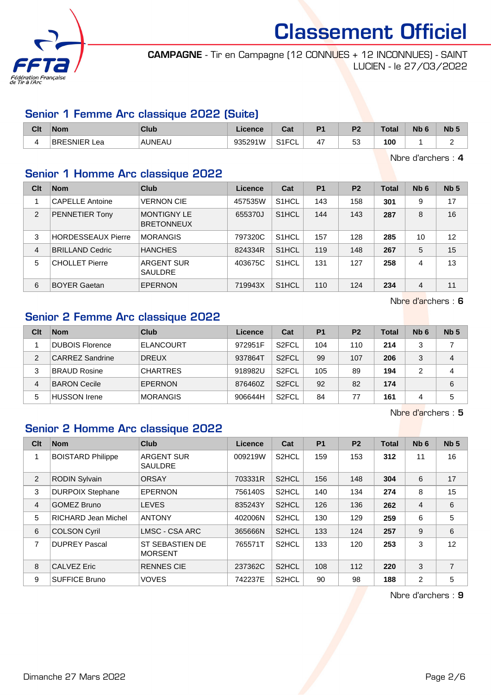

CAMPAGNE - Tir en Campagne (12 CONNUES + 12 INCONNUES) - SAINT LUCIEN - le 27/03/2022

#### Senior 1 Femme Arc classique 2022 (Suite)

| Clt | <b>Nom</b>          | Club    | .icence | יהי<br>uai             | D <sub>1</sub>      | D <sub>2</sub>    | Total | <b>Nb</b> | <b>N<sub>b</sub></b> |
|-----|---------------------|---------|---------|------------------------|---------------------|-------------------|-------|-----------|----------------------|
|     | <b>BRESNIER Lea</b> | 'AUNEAU | 935291W | 0.1501<br>'⊤ا'ت<br>∵∪∟ | $\overline{ }$<br>4 | $\sim$<br>n.<br>ິ | 100   |           |                      |

Nbre d'archers : 4

## Senior 1 Homme Arc classique 2022

| Clt            | <b>Nom</b>                | Club                                    | Licence | Cat                | P <sub>1</sub> | P <sub>2</sub> | <b>Total</b> | Nb <sub>6</sub> | Nb <sub>5</sub> |
|----------------|---------------------------|-----------------------------------------|---------|--------------------|----------------|----------------|--------------|-----------------|-----------------|
| 1              | <b>CAPELLE Antoine</b>    | <b>VERNON CIE</b>                       | 457535W | S <sub>1</sub> HCL | 143            | 158            | 301          | 9               | 17              |
| 2              | PENNETIER Tony            | <b>MONTIGNY LE</b><br><b>BRETONNEUX</b> | 655370J | S <sub>1</sub> HCL | 144            | 143            | 287          | 8               | 16              |
| 3              | <b>HORDESSEAUX Pierre</b> | <b>MORANGIS</b>                         | 797320C | S <sub>1</sub> HCL | 157            | 128            | 285          | 10              | 12              |
| $\overline{4}$ | <b>BRILLAND Cedric</b>    | <b>HANCHES</b>                          | 824334R | S <sub>1</sub> HCL | 119            | 148            | 267          | 5               | 15              |
| 5              | <b>CHOLLET Pierre</b>     | ARGENT SUR<br><b>SAULDRE</b>            | 403675C | S <sub>1</sub> HCL | 131            | 127            | 258          | 4               | 13              |
| 6              | <b>BOYER Gaetan</b>       | <b>EPERNON</b>                          | 719943X | S <sub>1</sub> HCL | 110            | 124            | 234          | 4               | 11              |

Nbre d'archers : 6

#### Senior 2 Femme Arc classique 2022

| Clt | <b>Nom</b>             | Club             | Licence | Cat                | P <sub>1</sub> | P <sub>2</sub> | <b>Total</b> | N <sub>b</sub> 6 | Nb <sub>5</sub> |
|-----|------------------------|------------------|---------|--------------------|----------------|----------------|--------------|------------------|-----------------|
|     | <b>DUBOIS Florence</b> | <b>ELANCOURT</b> | 972951F | S <sub>2</sub> FCL | 104            | 110            | 214          |                  |                 |
| 2   | <b>CARREZ Sandrine</b> | <b>DREUX</b>     | 937864T | S <sub>2</sub> FCL | 99             | 107            | 206          | 3                | 4               |
| 3   | <b>BRAUD Rosine</b>    | <b>CHARTRES</b>  | 918982U | S <sub>2</sub> FCL | 105            | 89             | 194          | າ                | 4               |
| 4   | <b>BARON Cecile</b>    | EPERNON          | 876460Z | S <sub>2</sub> FCL | 92             | 82             | 174          |                  | 6               |
| 5   | <b>HUSSON</b> Irene    | <b>MORANGIS</b>  | 906644H | S <sub>2</sub> FCL | 84             | 77             | 161          | 4                | 5               |

Nbre d'archers : 5

### Senior 2 Homme Arc classique 2022

| Clt | <b>Nom</b>               | <b>Club</b>                              | <b>Licence</b> | Cat                | P <sub>1</sub> | <b>P2</b> | <b>Total</b> | Nb <sub>6</sub> | Nb <sub>5</sub> |
|-----|--------------------------|------------------------------------------|----------------|--------------------|----------------|-----------|--------------|-----------------|-----------------|
| 1   | <b>BOISTARD Philippe</b> | <b>ARGENT SUR</b><br><b>SAULDRE</b>      | 009219W        | S <sub>2</sub> HCL | 159            | 153       | 312          | 11              | 16              |
| 2   | <b>RODIN Sylvain</b>     | <b>ORSAY</b>                             | 703331R        | S <sub>2</sub> HCL | 156            | 148       | 304          | 6               | 17              |
| 3   | <b>DURPOIX Stephane</b>  | <b>EPERNON</b>                           | 756140S        | S <sub>2</sub> HCL | 140            | 134       | 274          | 8               | 15              |
| 4   | <b>GOMEZ Bruno</b>       | <b>LEVES</b>                             | 835243Y        | S <sub>2</sub> HCL | 126            | 136       | 262          | $\overline{4}$  | 6               |
| 5   | RICHARD Jean Michel      | <b>ANTONY</b>                            | 402006N        | S <sub>2</sub> HCL | 130            | 129       | 259          | 6               | 5               |
| 6   | <b>COLSON Cyril</b>      | LMSC - CSA ARC                           | 365666N        | S <sub>2</sub> HCL | 133            | 124       | 257          | 9               | 6               |
| 7   | <b>DUPREY Pascal</b>     | <b>ST SEBASTIEN DE</b><br><b>MORSENT</b> | 765571T        | S <sub>2</sub> HCL | 133            | 120       | 253          | 3               | 12              |
| 8   | <b>CALVEZ Eric</b>       | <b>RENNES CIE</b>                        | 237362C        | S <sub>2</sub> HCL | 108            | 112       | 220          | 3               | 7               |
| 9   | <b>SUFFICE Bruno</b>     | <b>VOVES</b>                             | 742237E        | S <sub>2</sub> HCL | 90             | 98        | 188          | 2               | 5               |

Nbre d'archers : 9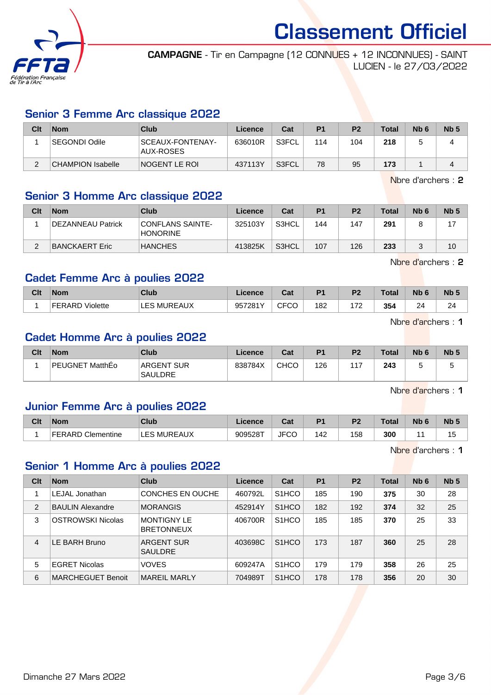

CAMPAGNE - Tir en Campagne (12 CONNUES + 12 INCONNUES) - SAINT LUCIEN - le 27/03/2022

#### Senior 3 Femme Arc classique 2022

| Clt | <b>Nom</b>               | Club                          | Licence | Cat   | P <sub>1</sub> | P <sub>2</sub> | <b>Total</b> | N <sub>b</sub> 6 | Nb <sub>5</sub> |
|-----|--------------------------|-------------------------------|---------|-------|----------------|----------------|--------------|------------------|-----------------|
|     | l SEGONDI Odile          | SCEAUX-FONTENAY-<br>AUX-ROSES | 636010R | S3FCL | 114            | 104            | 218          |                  |                 |
|     | <b>CHAMPION Isabelle</b> | INOGENT LE ROI                | 437113Y | S3FCL | 78             | 95             | 173          |                  |                 |

Nbre d'archers : 2

#### Senior 3 Homme Arc classique 2022

| Clt | <b>Nom</b>                | Club                                       | Licence | Cat   | P <sub>1</sub> | P <sub>2</sub> | <b>Total</b> | N <sub>b</sub> 6 | Nb <sub>5</sub> |
|-----|---------------------------|--------------------------------------------|---------|-------|----------------|----------------|--------------|------------------|-----------------|
|     | <b>IDEZANNEAU Patrick</b> | <b>CONFLANS SAINTE-</b><br><b>HONORINE</b> | 325103Y | S3HCL | 144            | 147            | 291          |                  |                 |
|     | BANCKAERT Eric            | <b>HANCHES</b>                             | 413825K | S3HCL | 107            | 126            | 233          |                  | 10              |

Nbre d'archers : 2

## Cadet Femme Arc à poulies 2022

| Clt | <b>Nom</b>         | Club               | cence   | $\sim$<br>υαι            | D.  | DC.       | Total | N <sub>b</sub> | Nb <sub>5</sub> |
|-----|--------------------|--------------------|---------|--------------------------|-----|-----------|-------|----------------|-----------------|
|     | FERARD<br>Violette | <b>LES MUREAUX</b> | 957281Y | $\sim$ $\sim$<br>◡◡<br>◡ | 182 | פר ו<br>- | 354   | 24             | 24              |

Nbre d'archers : 1

#### Cadet Homme Arc à poulies 2022

| Clt | <b>Nom</b>      | Club                                | Licence | Cat         | P <sub>1</sub> | P <sub>2</sub> | Total | Nb <sub>6</sub> | N <sub>b</sub> 5 |
|-----|-----------------|-------------------------------------|---------|-------------|----------------|----------------|-------|-----------------|------------------|
|     | PEUGNET MatthEo | <b>ARGENT SUR</b><br><b>SAULDRE</b> | 838784X | <b>CHCO</b> | 126            | 117            | 243   |                 | ັ                |

Nbre d'archers : 1

#### Junior Femme Arc à poulies 2022

| Clt | <b>Nom</b>        | Club                        | Licence | <b>Dat</b><br>ua   | D <sub>1</sub> | D <sub>2</sub> | Total | Nb | <b>N<sub>b</sub></b> |
|-----|-------------------|-----------------------------|---------|--------------------|----------------|----------------|-------|----|----------------------|
|     | FERARD Clementine | MUREAUX<br><b>EQ</b><br>ᄂᄂᇰ | 909528T | - – –<br>JF'<br>טי | 142            | 158            | 300   |    | כ: ו                 |

Nbre d'archers : 1

#### Senior 1 Homme Arc à poulies 2022

| Clt            | <b>Nom</b>               | Club                                    | Licence | Cat                | <b>P1</b> | P <sub>2</sub> | <b>Total</b> | Nb <sub>6</sub> | Nb <sub>5</sub> |
|----------------|--------------------------|-----------------------------------------|---------|--------------------|-----------|----------------|--------------|-----------------|-----------------|
|                | LEJAL Jonathan           | CONCHES EN OUCHE                        | 460792L | S <sub>1</sub> HCO | 185       | 190            | 375          | 30              | 28              |
| 2              | <b>BAULIN Alexandre</b>  | <b>MORANGIS</b>                         | 452914Y | S <sub>1</sub> HCO | 182       | 192            | 374          | 32              | 25              |
| 3              | <b>OSTROWSKI Nicolas</b> | <b>MONTIGNY LE</b><br><b>BRETONNEUX</b> | 406700R | S <sub>1</sub> HCO | 185       | 185            | 370          | 25              | 33              |
| $\overline{4}$ | E BARH Bruno             | ARGENT SUR<br><b>SAULDRE</b>            | 403698C | S <sub>1</sub> HCO | 173       | 187            | 360          | 25              | 28              |
| 5              | <b>EGRET Nicolas</b>     | <b>VOVES</b>                            | 609247A | S <sub>1</sub> HCO | 179       | 179            | 358          | 26              | 25              |
| 6              | <b>MARCHEGUET Benoit</b> | MARFIL MARI Y                           | 704989T | S <sub>1</sub> HCO | 178       | 178            | 356          | 20              | 30              |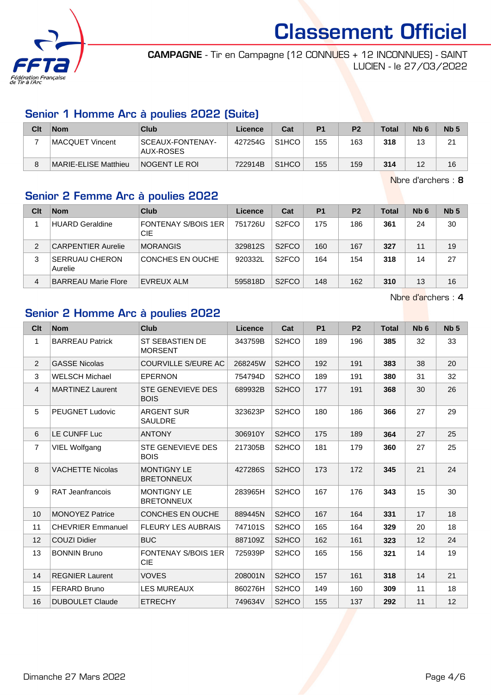

CAMPAGNE - Tir en Campagne (12 CONNUES + 12 INCONNUES) - SAINT LUCIEN - le 27/03/2022

#### Senior 1 Homme Arc à poulies 2022 (Suite)

| Clt | <b>Nom</b>           | Club                          | Licence | Cat                | P <sub>1</sub> | P <sub>2</sub> | <b>Total</b> | N <sub>b</sub> 6 | Nb <sub>5</sub> |
|-----|----------------------|-------------------------------|---------|--------------------|----------------|----------------|--------------|------------------|-----------------|
|     | MACQUET Vincent      | SCEAUX-FONTENAY-<br>AUX-ROSES | 427254G | S <sub>1</sub> HCO | 155            | 163            | 318          | 13               | 21              |
|     | MARIE-ELISE Matthieu | INOGENT LE ROI                | 722914B | S <sub>1</sub> HCO | 155            | 159            | 314          | 12               | 16              |

Nbre d'archers : 8

#### Senior 2 Femme Arc à poulies 2022

| Clt | <b>Nom</b>                       | Club                              | Licence | Cat                | P <sub>1</sub> | P <sub>2</sub> | <b>Total</b> | Nb <sub>6</sub> | Nb <sub>5</sub> |
|-----|----------------------------------|-----------------------------------|---------|--------------------|----------------|----------------|--------------|-----------------|-----------------|
|     | <b>HUARD Geraldine</b>           | <b>FONTENAY S/BOIS 1ER</b><br>CIE | 751726U | S <sub>2</sub> FCO | 175            | 186            | 361          | 24              | 30              |
| 2   | <b>CARPENTIER Aurelie</b>        | <b>MORANGIS</b>                   | 329812S | S <sub>2</sub> FCO | 160            | 167            | 327          | 11              | 19              |
| 3   | <b>SERRUAU CHERON</b><br>Aurelie | CONCHES EN OUCHE                  | 920332L | S <sub>2</sub> FCO | 164            | 154            | 318          | 14              | 27              |
| 4   | <b>BARREAU Marie Flore</b>       | EVREUX ALM                        | 595818D | S <sub>2</sub> FCO | 148            | 162            | 310          | 13              | 16              |

Nbre d'archers : 4

#### Senior 2 Homme Arc à poulies 2022

| Clt              | <b>Nom</b>               | <b>Club</b>                              | <b>Licence</b> | Cat                | <b>P1</b> | P <sub>2</sub> | <b>Total</b> | N <sub>b</sub> <sub>6</sub> | Nb <sub>5</sub> |
|------------------|--------------------------|------------------------------------------|----------------|--------------------|-----------|----------------|--------------|-----------------------------|-----------------|
| $\mathbf{1}$     | <b>BARREAU Patrick</b>   | ST SEBASTIEN DE<br><b>MORSENT</b>        | 343759B        | S <sub>2</sub> HCO | 189       | 196            | 385          | 32                          | 33              |
| $\overline{2}$   | <b>GASSE Nicolas</b>     | <b>COURVILLE S/EURE AC</b>               | 268245W        | S <sub>2</sub> HCO | 192       | 191            | 383          | 38                          | 20              |
| 3                | <b>WELSCH Michael</b>    | <b>EPERNON</b>                           | 754794D        | S <sub>2</sub> HCO | 189       | 191            | 380          | 31                          | 32              |
| $\overline{4}$   | <b>MARTINEZ Laurent</b>  | STE GENEVIEVE DES<br><b>BOIS</b>         | 689932B        | S <sub>2</sub> HCO | 177       | 191            | 368          | 30                          | 26              |
| 5                | <b>PEUGNET Ludovic</b>   | <b>ARGENT SUR</b><br><b>SAULDRE</b>      | 323623P        | S <sub>2</sub> HCO | 180       | 186            | 366          | 27                          | 29              |
| 6                | LE CUNFF Luc             | <b>ANTONY</b>                            | 306910Y        | S <sub>2</sub> HCO | 175       | 189            | 364          | 27                          | 25              |
| $\overline{7}$   | <b>VIEL Wolfgang</b>     | <b>STE GENEVIEVE DES</b><br><b>BOIS</b>  | 217305B        | S <sub>2</sub> HCO | 181       | 179            | 360          | 27                          | 25              |
| 8                | <b>VACHETTE Nicolas</b>  | <b>MONTIGNY LE</b><br><b>BRETONNEUX</b>  | 427286S        | S <sub>2</sub> HCO | 173       | 172            | 345          | 21                          | 24              |
| $\boldsymbol{9}$ | <b>RAT Jeanfrancois</b>  | <b>MONTIGNY LE</b><br><b>BRETONNEUX</b>  | 283965H        | S <sub>2</sub> HCO | 167       | 176            | 343          | 15                          | 30              |
| 10               | <b>MONOYEZ Patrice</b>   | <b>CONCHES EN OUCHE</b>                  | 889445N        | S <sub>2</sub> HCO | 167       | 164            | 331          | 17                          | 18              |
| 11               | <b>CHEVRIER Emmanuel</b> | <b>FLEURY LES AUBRAIS</b>                | 747101S        | S <sub>2</sub> HCO | 165       | 164            | 329          | 20                          | 18              |
| 12               | <b>COUZI Didier</b>      | <b>BUC</b>                               | 887109Z        | S <sub>2</sub> HCO | 162       | 161            | 323          | 12                          | 24              |
| 13               | <b>BONNIN Bruno</b>      | <b>FONTENAY S/BOIS 1ER</b><br><b>CIE</b> | 725939P        | S <sub>2</sub> HCO | 165       | 156            | 321          | 14                          | 19              |
| 14               | <b>REGNIER Laurent</b>   | <b>VOVES</b>                             | 208001N        | S <sub>2</sub> HCO | 157       | 161            | 318          | 14                          | 21              |
| 15               | <b>FERARD Bruno</b>      | <b>LES MUREAUX</b>                       | 860276H        | S <sub>2</sub> HCO | 149       | 160            | 309          | 11                          | 18              |
| 16               | <b>DUBOULET Claude</b>   | <b>ETRECHY</b>                           | 749634V        | S <sub>2</sub> HCO | 155       | 137            | 292          | 11                          | 12              |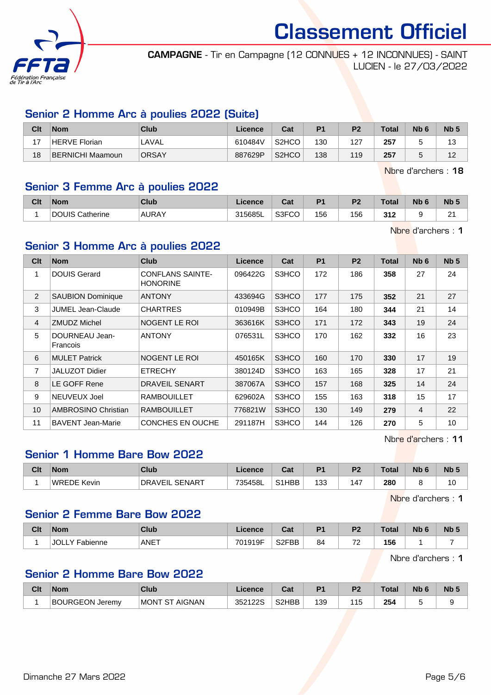

CAMPAGNE - Tir en Campagne (12 CONNUES + 12 INCONNUES) - SAINT LUCIEN - le 27/03/2022

#### Senior 2 Homme Arc à poulies 2022 (Suite)

| Clt | <b>Nom</b>              | <b>Club</b>  | ∟icence | Cat                | P <sub>1</sub> | P <sub>2</sub> | <b>Total</b> | N <sub>b</sub> 6 | Nb <sub>5</sub> |
|-----|-------------------------|--------------|---------|--------------------|----------------|----------------|--------------|------------------|-----------------|
| 17  | HERVE Florian           | LAVAL        | 610484V | S <sub>2</sub> HCO | 130            | 127            | 257          |                  | 13              |
| 18  | <b>BERNICHI Maamoun</b> | <b>ORSAY</b> | 887629P | S <sub>2</sub> HCO | 138            | 119            | 257          |                  | 12              |

Nbre d'archers : 18

#### Senior 3 Femme Arc à poulies 2022

| Clt | Nom                    | Club         | Licence | $R_{\rm{at}}$<br>ua | D.  | D <sub>2</sub> | <b>Total</b> | Nb ( | <b>Nb</b> |
|-----|------------------------|--------------|---------|---------------------|-----|----------------|--------------|------|-----------|
|     | <b>DOUIS Catherine</b> | <b>AURAY</b> | 315685L | S3FCO               | 156 | 156            | 317<br>JIZ   |      | o.<br>-   |

Nbre d'archers : 1

#### Senior 3 Homme Arc à poulies 2022

| Clt            | <b>Nom</b>                 | Club                                       | Licence | Cat   | <b>P1</b> | P <sub>2</sub> | <b>Total</b> | Nb <sub>6</sub> | Nb <sub>5</sub> |
|----------------|----------------------------|--------------------------------------------|---------|-------|-----------|----------------|--------------|-----------------|-----------------|
| 1              | <b>DOUIS Gerard</b>        | <b>CONFLANS SAINTE-</b><br><b>HONORINE</b> | 096422G | S3HCO | 172       | 186            | 358          | 27              | 24              |
| 2              | <b>SAUBION Dominique</b>   | <b>ANTONY</b>                              | 433694G | S3HCO | 177       | 175            | 352          | 21              | 27              |
| 3              | JUMEL Jean-Claude          | <b>CHARTRES</b>                            | 010949B | S3HCO | 164       | 180            | 344          | 21              | 14              |
| $\overline{4}$ | <b>ZMUDZ Michel</b>        | NOGENT LE ROI                              | 363616K | S3HCO | 171       | 172            | 343          | 19              | 24              |
| 5              | DOURNEAU Jean-<br>Francois | <b>ANTONY</b>                              | 076531L | S3HCO | 170       | 162            | 332          | 16              | 23              |
| 6              | <b>MULET Patrick</b>       | NOGENT LE ROI                              | 450165K | S3HCO | 160       | 170            | 330          | 17              | 19              |
| $\overline{7}$ | <b>JALUZOT Didier</b>      | <b>ETRECHY</b>                             | 380124D | S3HCO | 163       | 165            | 328          | 17              | 21              |
| 8              | LE GOFF Rene               | <b>DRAVEIL SENART</b>                      | 387067A | S3HCO | 157       | 168            | 325          | 14              | 24              |
| 9              | NEUVEUX Joel               | <b>RAMBOUILLET</b>                         | 629602A | S3HCO | 155       | 163            | 318          | 15              | 17              |
| 10             | AMBROSINO Christian        | <b>RAMBOUILLET</b>                         | 776821W | S3HCO | 130       | 149            | 279          | $\overline{4}$  | 22              |
| 11             | <b>BAVENT Jean-Marie</b>   | CONCHES EN OUCHE                           | 291187H | S3HCO | 144       | 126            | 270          | 5               | 10              |

Nbre d'archers : 11

### Senior 1 Homme Bare Bow 2022

| Clt | <b>Nom</b>                   | Club                            | Licence | ∩~'<br>⊍aι | D <sub>1</sub> | פם  | `otal         | <b>N<sub>b</sub></b> | N <sub>b</sub>       |
|-----|------------------------------|---------------------------------|---------|------------|----------------|-----|---------------|----------------------|----------------------|
|     | <b>WREDE</b><br><b>Kevin</b> | <b>SENART</b><br><b>DRAVEIL</b> | 735458L | $$1HBB +$  | 133            | 147 | 280<br>$\sim$ |                      | $\overline{ }$<br>ιU |

Nbre d'archers : 1

#### Senior 2 Femme Bare Bow 2022

| Clt | <b>Nom</b>       | <b>Club</b> | Licence | r.,<br>ual         | D <sub>1</sub> | D <sub>2</sub><br>×                    | Total | Nb | <b>N<sub>b</sub></b> |
|-----|------------------|-------------|---------|--------------------|----------------|----------------------------------------|-------|----|----------------------|
|     | Fabienne<br>◡◡∟∟ | ANET        | 701919F | S <sub>2</sub> FBB | 84             | $\overline{\phantom{a}}$<br>$\epsilon$ | 156   |    |                      |

Nbre d'archers : 1

#### Senior 2 Homme Bare Bow 2022

| Clt | <b>Nom</b>             | Club           | <sub>-</sub> icence | va.   | D.  | P2  | <b>Total</b> | Nb | Nb. |
|-----|------------------------|----------------|---------------------|-------|-----|-----|--------------|----|-----|
|     | <b>BOURGEON Jeremy</b> | MONT ST AIGNAN | 352122S             | S2HBB | 139 | 115 | 254          |    |     |